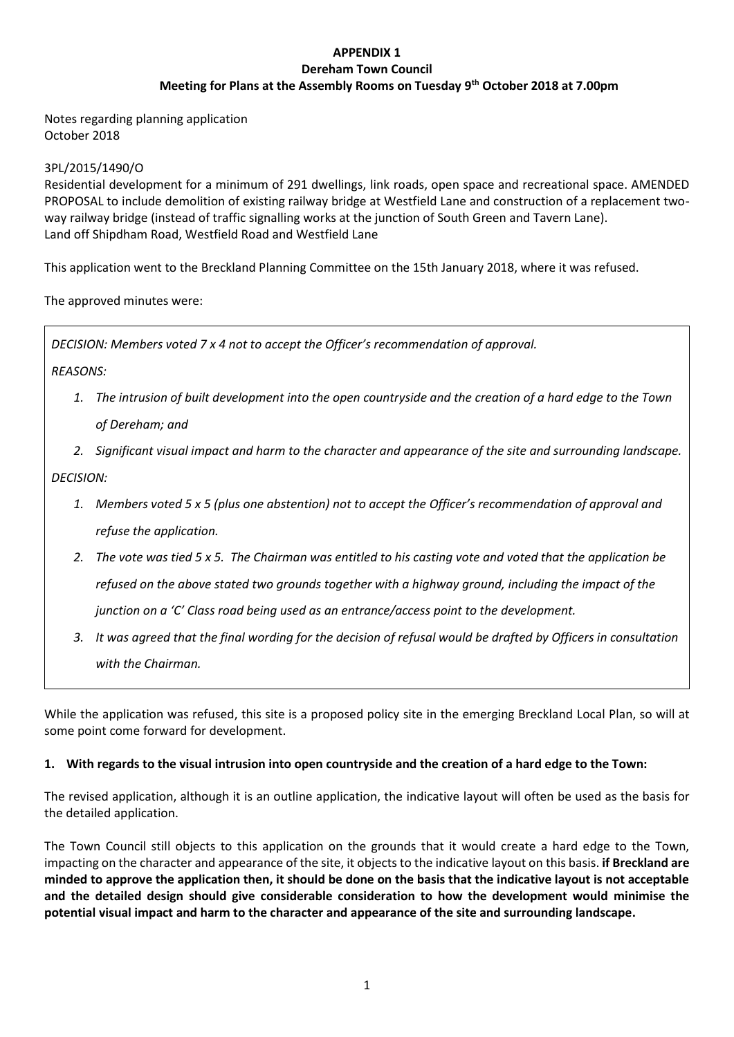# **APPENDIX 1 Dereham Town Council Meeting for Plans at the Assembly Rooms on Tuesday 9th October 2018 at 7.00pm**

Notes regarding planning application October 2018

# 3PL/2015/1490/O

Residential development for a minimum of 291 dwellings, link roads, open space and recreational space. AMENDED PROPOSAL to include demolition of existing railway bridge at Westfield Lane and construction of a replacement twoway railway bridge (instead of traffic signalling works at the junction of South Green and Tavern Lane). Land off Shipdham Road, Westfield Road and Westfield Lane

This application went to the Breckland Planning Committee on the 15th January 2018, where it was refused.

The approved minutes were:

*DECISION: Members voted 7 x 4 not to accept the Officer's recommendation of approval.*

*REASONS:*

- *1. The intrusion of built development into the open countryside and the creation of a hard edge to the Town of Dereham; and*
- *2. Significant visual impact and harm to the character and appearance of the site and surrounding landscape.*

*DECISION:* 

- *1. Members voted 5 x 5 (plus one abstention) not to accept the Officer's recommendation of approval and refuse the application.*
- *2. The vote was tied 5 x 5. The Chairman was entitled to his casting vote and voted that the application be refused on the above stated two grounds together with a highway ground, including the impact of the junction on a 'C' Class road being used as an entrance/access point to the development.*
- *3. It was agreed that the final wording for the decision of refusal would be drafted by Officers in consultation with the Chairman.*

While the application was refused, this site is a proposed policy site in the emerging Breckland Local Plan, so will at some point come forward for development.

### **1. With regards to the visual intrusion into open countryside and the creation of a hard edge to the Town:**

The revised application, although it is an outline application, the indicative layout will often be used as the basis for the detailed application.

The Town Council still objects to this application on the grounds that it would create a hard edge to the Town, impacting on the character and appearance of the site, it objects to the indicative layout on this basis. **if Breckland are minded to approve the application then, it should be done on the basis that the indicative layout is not acceptable and the detailed design should give considerable consideration to how the development would minimise the potential visual impact and harm to the character and appearance of the site and surrounding landscape.**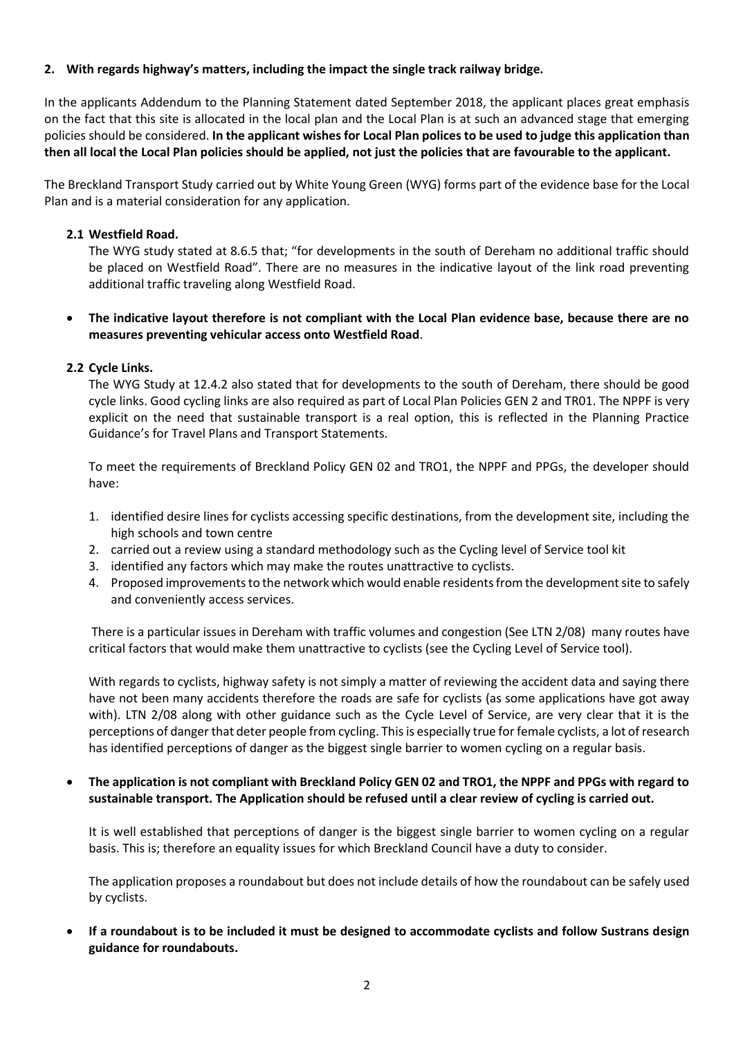# **2. With regards highway's matters, including the impact the single track railway bridge.**

In the applicants Addendum to the Planning Statement dated September 2018, the applicant places great emphasis on the fact that this site is allocated in the local plan and the Local Plan is at such an advanced stage that emerging policies should be considered. **In the applicant wishes for Local Plan polices to be used to judge this application than then all local the Local Plan policies should be applied, not just the policies that are favourable to the applicant.**

The Breckland Transport Study carried out by White Young Green (WYG) forms part of the evidence base for the Local Plan and is a material consideration for any application.

### **2.1 Westfield Road.**

The WYG study stated at 8.6.5 that; "for developments in the south of Dereham no additional traffic should be placed on Westfield Road". There are no measures in the indicative layout of the link road preventing additional traffic traveling along Westfield Road.

# **The indicative layout therefore is not compliant with the Local Plan evidence base, because there are no measures preventing vehicular access onto Westfield Road**.

# **2.2 Cycle Links.**

The WYG Study at 12.4.2 also stated that for developments to the south of Dereham, there should be good cycle links. Good cycling links are also required as part of Local Plan Policies GEN 2 and TR01. The NPPF is very explicit on the need that sustainable transport is a real option, this is reflected in the Planning Practice Guidance's for Travel Plans and Transport Statements.

To meet the requirements of Breckland Policy GEN 02 and TRO1, the NPPF and PPGs, the developer should have:

- 1. identified desire lines for cyclists accessing specific destinations, from the development site, including the high schools and town centre
- 2. carried out a review using a standard methodology such as the Cycling level of Service tool kit
- 3. identified any factors which may make the routes unattractive to cyclists.
- 4. Proposed improvements to the network which would enable residents from the development site to safely and conveniently access services.

There is a particular issues in Dereham with traffic volumes and congestion (See LTN 2/08) many routes have critical factors that would make them unattractive to cyclists (see the Cycling Level of Service tool).

With regards to cyclists, highway safety is not simply a matter of reviewing the accident data and saying there have not been many accidents therefore the roads are safe for cyclists (as some applications have got away with). LTN 2/08 along with other guidance such as the Cycle Level of Service, are very clear that it is the perceptions of danger that deter people from cycling. This is especially true for female cyclists, a lot of research has identified perceptions of danger as the biggest single barrier to women cycling on a regular basis.

 **The application is not compliant with Breckland Policy GEN 02 and TRO1, the NPPF and PPGs with regard to sustainable transport. The Application should be refused until a clear review of cycling is carried out.**

It is well established that perceptions of danger is the biggest single barrier to women cycling on a regular basis. This is; therefore an equality issues for which Breckland Council have a duty to consider.

The application proposes a roundabout but does not include details of how the roundabout can be safely used by cyclists.

 **If a roundabout is to be included it must be designed to accommodate cyclists and follow Sustrans design guidance for roundabouts.**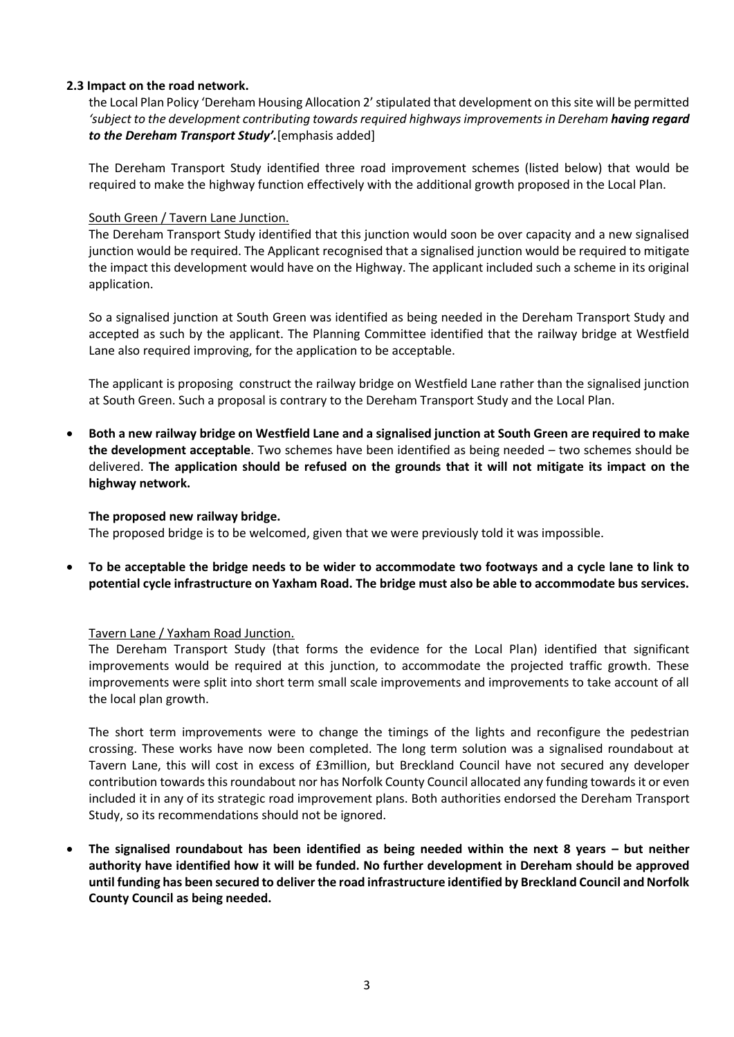## **2.3 Impact on the road network.**

the Local Plan Policy 'Dereham Housing Allocation 2' stipulated that development on this site will be permitted 'subject to the development contributing towards required highways improvements in Dereham **having regard** *to the Dereham Transport Study'.*[emphasis added]

The Dereham Transport Study identified three road improvement schemes (listed below) that would be required to make the highway function effectively with the additional growth proposed in the Local Plan.

## South Green / Tavern Lane Junction.

The Dereham Transport Study identified that this junction would soon be over capacity and a new signalised junction would be required. The Applicant recognised that a signalised junction would be required to mitigate the impact this development would have on the Highway. The applicant included such a scheme in its original application.

So a signalised junction at South Green was identified as being needed in the Dereham Transport Study and accepted as such by the applicant. The Planning Committee identified that the railway bridge at Westfield Lane also required improving, for the application to be acceptable.

The applicant is proposing construct the railway bridge on Westfield Lane rather than the signalised junction at South Green. Such a proposal is contrary to the Dereham Transport Study and the Local Plan.

 **Both a new railway bridge on Westfield Lane and a signalised junction at South Green are required to make the development acceptable**. Two schemes have been identified as being needed – two schemes should be delivered. **The application should be refused on the grounds that it will not mitigate its impact on the highway network.** 

### **The proposed new railway bridge.**

The proposed bridge is to be welcomed, given that we were previously told it was impossible.

 **To be acceptable the bridge needs to be wider to accommodate two footways and a cycle lane to link to potential cycle infrastructure on Yaxham Road. The bridge must also be able to accommodate bus services.**

### Tavern Lane / Yaxham Road Junction.

The Dereham Transport Study (that forms the evidence for the Local Plan) identified that significant improvements would be required at this junction, to accommodate the projected traffic growth. These improvements were split into short term small scale improvements and improvements to take account of all the local plan growth.

The short term improvements were to change the timings of the lights and reconfigure the pedestrian crossing. These works have now been completed. The long term solution was a signalised roundabout at Tavern Lane, this will cost in excess of £3million, but Breckland Council have not secured any developer contribution towards this roundabout nor has Norfolk County Council allocated any funding towards it or even included it in any of its strategic road improvement plans. Both authorities endorsed the Dereham Transport Study, so its recommendations should not be ignored.

 **The signalised roundabout has been identified as being needed within the next 8 years – but neither authority have identified how it will be funded. No further development in Dereham should be approved until funding has been secured to deliver the road infrastructure identified by Breckland Council and Norfolk County Council as being needed.**